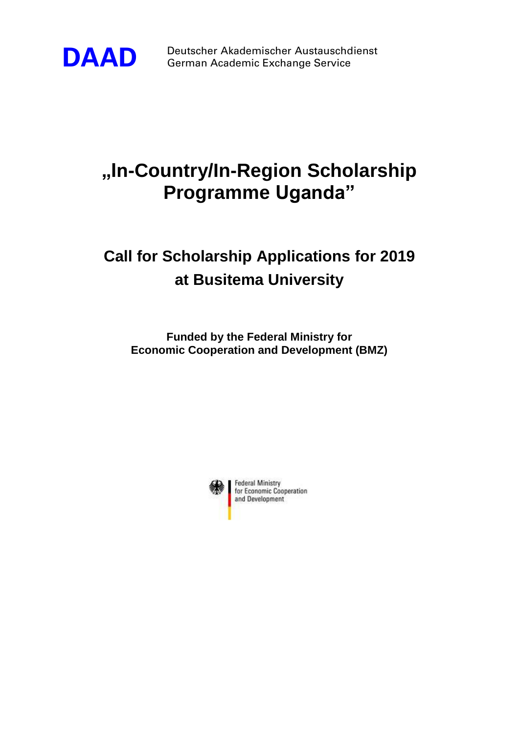

**DAAD** Deutscher Akademischer Austauschdienst<br>German Academic Exchange Service German Academic Exchange Service

## **"In-Country/In-Region Scholarship Programme Uganda"**

## **Call for Scholarship Applications for 2019 at Busitema University**

**Funded by the Federal Ministry for Economic Cooperation and Development (BMZ)**

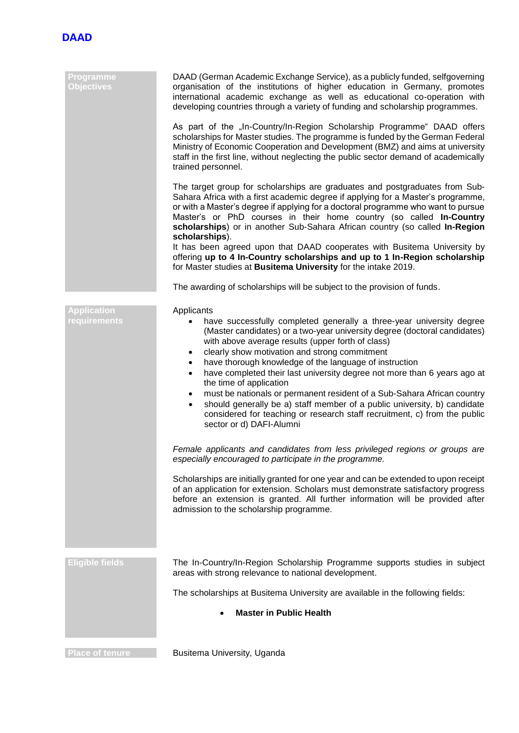

| Programme<br><b>Objectives</b>     | DAAD (German Academic Exchange Service), as a publicly funded, selfgoverning<br>organisation of the institutions of higher education in Germany, promotes<br>international academic exchange as well as educational co-operation with<br>developing countries through a variety of funding and scholarship programmes.                                                                                                                                                                                                                                                                                                                                                                                                                                               |
|------------------------------------|----------------------------------------------------------------------------------------------------------------------------------------------------------------------------------------------------------------------------------------------------------------------------------------------------------------------------------------------------------------------------------------------------------------------------------------------------------------------------------------------------------------------------------------------------------------------------------------------------------------------------------------------------------------------------------------------------------------------------------------------------------------------|
|                                    | As part of the "In-Country/In-Region Scholarship Programme" DAAD offers<br>scholarships for Master studies. The programme is funded by the German Federal<br>Ministry of Economic Cooperation and Development (BMZ) and aims at university<br>staff in the first line, without neglecting the public sector demand of academically<br>trained personnel.                                                                                                                                                                                                                                                                                                                                                                                                             |
|                                    | The target group for scholarships are graduates and postgraduates from Sub-<br>Sahara Africa with a first academic degree if applying for a Master's programme,<br>or with a Master's degree if applying for a doctoral programme who want to pursue<br>Master's or PhD courses in their home country (so called In-Country<br>scholarships) or in another Sub-Sahara African country (so called In-Region<br>scholarships).                                                                                                                                                                                                                                                                                                                                         |
|                                    | It has been agreed upon that DAAD cooperates with Busitema University by<br>offering up to 4 In-Country scholarships and up to 1 In-Region scholarship<br>for Master studies at Busitema University for the intake 2019.                                                                                                                                                                                                                                                                                                                                                                                                                                                                                                                                             |
|                                    | The awarding of scholarships will be subject to the provision of funds.                                                                                                                                                                                                                                                                                                                                                                                                                                                                                                                                                                                                                                                                                              |
| <b>Application</b><br>requirements | Applicants<br>have successfully completed generally a three-year university degree<br>٠<br>(Master candidates) or a two-year university degree (doctoral candidates)<br>with above average results (upper forth of class)<br>clearly show motivation and strong commitment<br>$\bullet$<br>have thorough knowledge of the language of instruction<br>$\bullet$<br>have completed their last university degree not more than 6 years ago at<br>٠<br>the time of application<br>must be nationals or permanent resident of a Sub-Sahara African country<br>$\bullet$<br>should generally be a) staff member of a public university, b) candidate<br>$\bullet$<br>considered for teaching or research staff recruitment, c) from the public<br>sector or d) DAFI-Alumni |
|                                    | Female applicants and candidates from less privileged regions or groups are<br>especially encouraged to participate in the programme.                                                                                                                                                                                                                                                                                                                                                                                                                                                                                                                                                                                                                                |
|                                    | Scholarships are initially granted for one year and can be extended to upon receipt<br>of an application for extension. Scholars must demonstrate satisfactory progress<br>before an extension is granted. All further information will be provided after<br>admission to the scholarship programme.                                                                                                                                                                                                                                                                                                                                                                                                                                                                 |
| <b>Eligible fields</b>             | The In-Country/In-Region Scholarship Programme supports studies in subject<br>areas with strong relevance to national development.                                                                                                                                                                                                                                                                                                                                                                                                                                                                                                                                                                                                                                   |
|                                    | The scholarships at Busitema University are available in the following fields:                                                                                                                                                                                                                                                                                                                                                                                                                                                                                                                                                                                                                                                                                       |
|                                    | <b>Master in Public Health</b>                                                                                                                                                                                                                                                                                                                                                                                                                                                                                                                                                                                                                                                                                                                                       |
| <b>Place of tenure</b>             | Busitema University, Uganda                                                                                                                                                                                                                                                                                                                                                                                                                                                                                                                                                                                                                                                                                                                                          |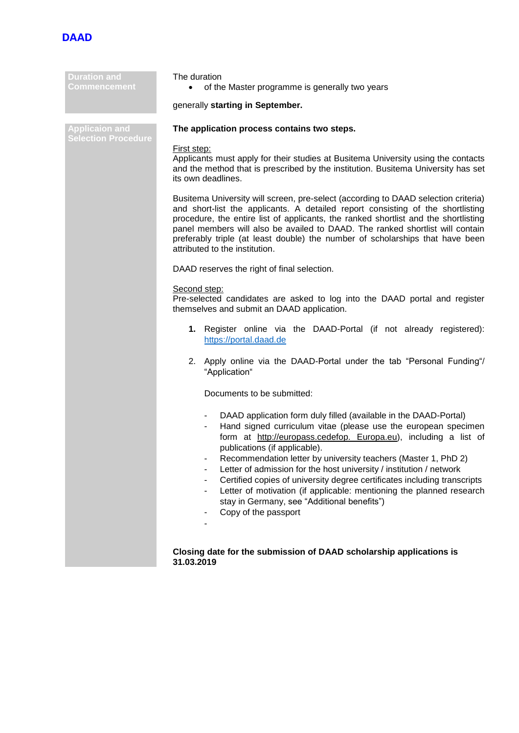

| <b>Duration and</b><br>Commencement                 | The duration<br>of the Master programme is generally two years                                                                                                                                                                                                                                                                                                                                                                                                                                                                                                                                                   |  |  |  |
|-----------------------------------------------------|------------------------------------------------------------------------------------------------------------------------------------------------------------------------------------------------------------------------------------------------------------------------------------------------------------------------------------------------------------------------------------------------------------------------------------------------------------------------------------------------------------------------------------------------------------------------------------------------------------------|--|--|--|
|                                                     | generally starting in September.                                                                                                                                                                                                                                                                                                                                                                                                                                                                                                                                                                                 |  |  |  |
| <b>Applicaion and</b><br><b>Selection Procedure</b> | The application process contains two steps.                                                                                                                                                                                                                                                                                                                                                                                                                                                                                                                                                                      |  |  |  |
|                                                     | First step:<br>Applicants must apply for their studies at Busitema University using the contacts<br>and the method that is prescribed by the institution. Busitema University has set<br>its own deadlines.                                                                                                                                                                                                                                                                                                                                                                                                      |  |  |  |
|                                                     | Busitema University will screen, pre-select (according to DAAD selection criteria)<br>and short-list the applicants. A detailed report consisting of the shortlisting<br>procedure, the entire list of applicants, the ranked shortlist and the shortlisting<br>panel members will also be availed to DAAD. The ranked shortlist will contain<br>preferably triple (at least double) the number of scholarships that have been<br>attributed to the institution.                                                                                                                                                 |  |  |  |
|                                                     | DAAD reserves the right of final selection.                                                                                                                                                                                                                                                                                                                                                                                                                                                                                                                                                                      |  |  |  |
|                                                     | Second step:<br>Pre-selected candidates are asked to log into the DAAD portal and register<br>themselves and submit an DAAD application.<br>1. Register online via the DAAD-Portal (if not already registered):<br>https://portal.daad.de<br>2. Apply online via the DAAD-Portal under the tab "Personal Funding"/<br>"Application"<br>Documents to be submitted:                                                                                                                                                                                                                                                |  |  |  |
|                                                     |                                                                                                                                                                                                                                                                                                                                                                                                                                                                                                                                                                                                                  |  |  |  |
|                                                     |                                                                                                                                                                                                                                                                                                                                                                                                                                                                                                                                                                                                                  |  |  |  |
|                                                     |                                                                                                                                                                                                                                                                                                                                                                                                                                                                                                                                                                                                                  |  |  |  |
|                                                     | DAAD application form duly filled (available in the DAAD-Portal)<br>Hand signed curriculum vitae (please use the european specimen<br>form at http://europass.cedefop. Europa.eu), including a list of<br>publications (if applicable).<br>Recommendation letter by university teachers (Master 1, PhD 2)<br>Letter of admission for the host university / institution / network<br>Certified copies of university degree certificates including transcripts<br>Letter of motivation (if applicable: mentioning the planned research<br>٠<br>stay in Germany, see "Additional benefits")<br>Copy of the passport |  |  |  |
|                                                     | Closing date for the submission of DAAD scholarship applications is                                                                                                                                                                                                                                                                                                                                                                                                                                                                                                                                              |  |  |  |

**31.03.2019**